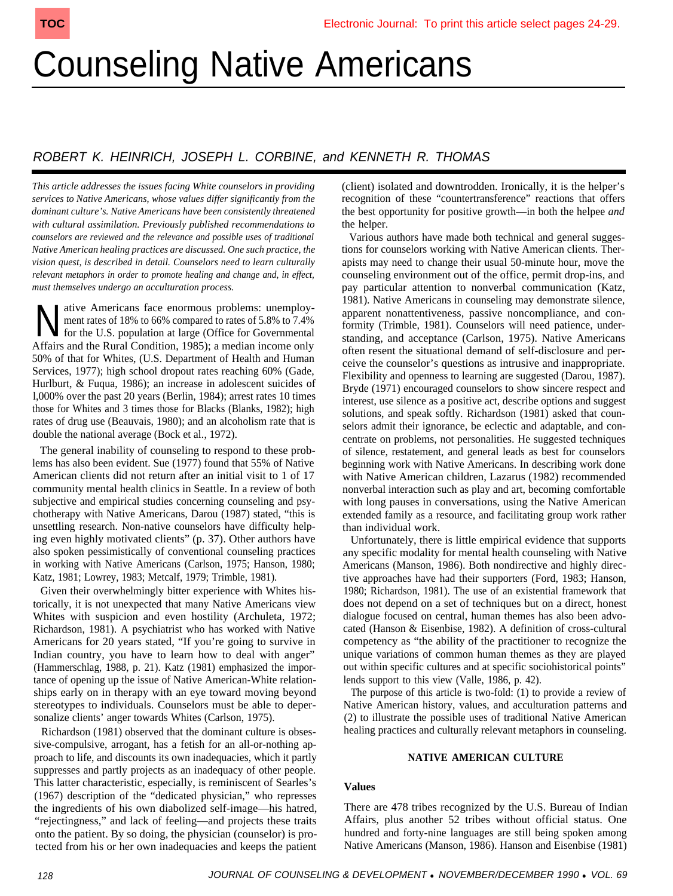# Counseling Native Americans

# ROBERT K. HEINRICH, JOSEPH L. CORBINE, and KENNETH R. THOMAS

*This article addresses the issues facing White counselors in providing services to Native Americans, whose values differ significantly from the dominant culture's. Native Americans have been consistently threatened with cultural assimilation. Previously published recommendations to counselors are reviewed and the relevance and possible uses of traditional Native American healing practices are discussed. One such practice, the vision quest, is described in detail. Counselors need to learn culturally relevant metaphors in order to promote healing and change and, in effect, must themselves undergo an acculturation process.*

N ative Americans face enormous problems: unemploy-<br>ment rates of 18% to 66% compared to rates of 5.8% to 7.4%<br>for the U.S. population at large (Office for Governmental ment rates of 18% to 66% compared to rates of 5.8% to 7.4% for the U.S. population at large (Office for Governmental Affairs and the Rural Condition, 1985); a median income only 50% of that for Whites, (U.S. Department of Health and Human Services, 1977); high school dropout rates reaching 60% (Gade, Hurlburt, & Fuqua, 1986); an increase in adolescent suicides of l,000% over the past 20 years (Berlin, 1984); arrest rates 10 times those for Whites and 3 times those for Blacks (Blanks, 1982); high rates of drug use (Beauvais, 1980); and an alcoholism rate that is double the national average (Bock et al., 1972).

The general inability of counseling to respond to these problems has also been evident. Sue (1977) found that 55% of Native American clients did not return after an initial visit to 1 of 17 community mental health clinics in Seattle. In a review of both subjective and empirical studies concerning counseling and psychotherapy with Native Americans, Darou (1987) stated, "this is unsettling research. Non-native counselors have difficulty helping even highly motivated clients" (p. 37). Other authors have also spoken pessimistically of conventional counseling practices in working with Native Americans (Carlson, 1975; Hanson, 1980; Katz, 1981; Lowrey, 1983; Metcalf, 1979; Trimble, 1981).

Given their overwhelmingly bitter experience with Whites historically, it is not unexpected that many Native Americans view Whites with suspicion and even hostility (Archuleta, 1972; Richardson, 1981). A psychiatrist who has worked with Native Americans for 20 years stated, "If you're going to survive in Indian country, you have to learn how to deal with anger" (Hammerschlag, 1988, p. 21). Katz (1981) emphasized the importance of opening up the issue of Native American-White relationships early on in therapy with an eye toward moving beyond stereotypes to individuals. Counselors must be able to depersonalize clients' anger towards Whites (Carlson, 1975).

Richardson (1981) observed that the dominant culture is obsessive-compulsive, arrogant, has a fetish for an all-or-nothing approach to life, and discounts its own inadequacies, which it partly suppresses and partly projects as an inadequacy of other people. This latter characteristic, especially, is reminiscent of Searles's (1967) description of the "dedicated physician," who represses the ingredients of his own diabolized self-image—his hatred, "rejectingness," and lack of feeling—and projects these traits onto the patient. By so doing, the physician (counselor) is protected from his or her own inadequacies and keeps the patient

(client) isolated and downtrodden. Ironically, it is the helper's recognition of these "countertransference" reactions that offers the best opportunity for positive growth—in both the helpee *and* the helper.

Various authors have made both technical and general suggestions for counselors working with Native American clients. Therapists may need to change their usual 50-minute hour, move the counseling environment out of the office, permit drop-ins, and pay particular attention to nonverbal communication (Katz, 1981). Native Americans in counseling may demonstrate silence, apparent nonattentiveness, passive noncompliance, and conformity (Trimble, 1981). Counselors will need patience, understanding, and acceptance (Carlson, 1975). Native Americans often resent the situational demand of self-disclosure and perceive the counselor's questions as intrusive and inappropriate. Flexibility and openness to learning are suggested (Darou, 1987). Bryde (1971) encouraged counselors to show sincere respect and interest, use silence as a positive act, describe options and suggest solutions, and speak softly. Richardson (1981) asked that counselors admit their ignorance, be eclectic and adaptable, and concentrate on problems, not personalities. He suggested techniques of silence, restatement, and general leads as best for counselors beginning work with Native Americans. In describing work done with Native American children, Lazarus (1982) recommended nonverbal interaction such as play and art, becoming comfortable with long pauses in conversations, using the Native American extended family as a resource, and facilitating group work rather than individual work. **TOO COUNSELING ACTION CONTINUES.** CONTINUES INTO A CONSELING ACTION CONTINUES INTO A CONSELING A CONSELING A CONSELING A CONSELING A CONSELING A CONSELING A CONSELING A CONSELING A CONSELING A CONSELING A CONSELING A CONS

Unfortunately, there is little empirical evidence that supports any specific modality for mental health counseling with Native Americans (Manson, 1986). Both nondirective and highly directive approaches have had their supporters (Ford, 1983; Hanson, 1980; Richardson, 1981). The use of an existential framework that does not depend on a set of techniques but on a direct, honest dialogue focused on central, human themes has also been advocated (Hanson & Eisenbise, 1982). A definition of cross-cultural competency as "the ability of the practitioner to recognize the unique variations of common human themes as they are played out within specific cultures and at specific sociohistorical points" lends support to this view (Valle, 1986, p. 42).

The purpose of this article is two-fold: (1) to provide a review of Native American history, values, and acculturation patterns and (2) to illustrate the possible uses of traditional Native American healing practices and culturally relevant metaphors in counseling.

## **NATIVE AMERICAN CULTURE**

## **Values**

There are 478 tribes recognized by the U.S. Bureau of Indian Affairs, plus another 52 tribes without official status. One hundred and forty-nine languages are still being spoken among Native Americans (Manson, 1986). Hanson and Eisenbise (1981)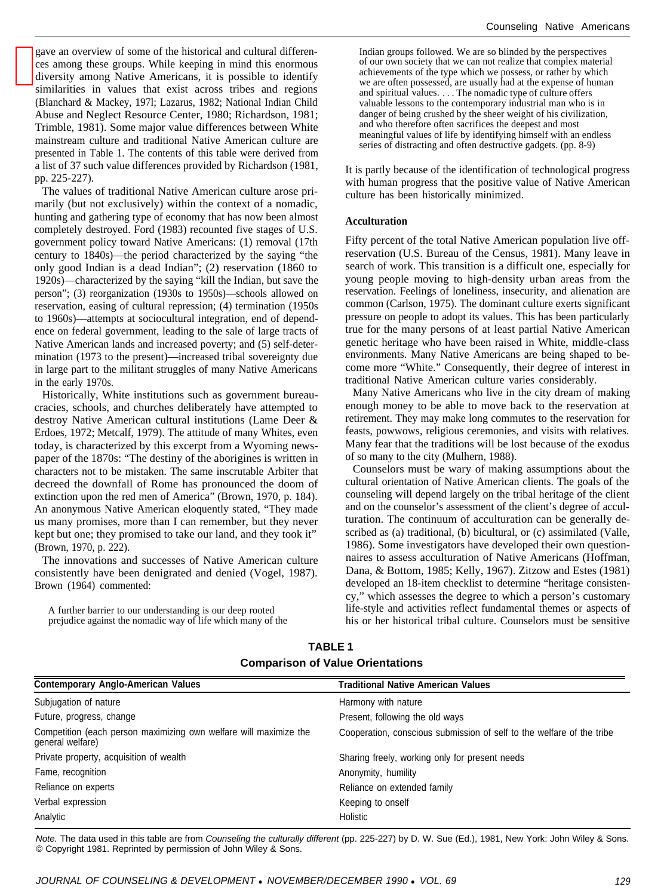gave an overview of some of the historical and cultural differences among these groups. While keeping in mind this enormous diversity among Native Americans, it is possible to identify similarities in values that exist across tribes and regions (Blanchard & Mackey, 197l; Lazarus, 1982; National Indian Child Abuse and Neglect Resource Center, 1980; Richardson, 1981; Trimble, 1981). Some major value differences between White mainstream culture and traditional Native American culture are presented in Table 1. The contents of this table were derived from a list of 37 such value differences provided by Richardson (1981, pp. 225-227).

The values of traditional Native American culture arose primarily (but not exclusively) within the context of a nomadic, hunting and gathering type of economy that has now been almost completely destroyed. Ford (1983) recounted five stages of U.S. government policy toward Native Americans: (1) removal (17th century to 1840s)—the period characterized by the saying "the only good Indian is a dead Indian"; (2) reservation (1860 to 1920s)—characterized by the saying "kill the Indian, but save the person"; (3) reorganization (1930s to 1950s)—schools allowed on reservation, easing of cultural repression; (4) termination (1950s to 1960s)—attempts at sociocultural integration, end of dependence on federal government, leading to the sale of large tracts of Native American lands and increased poverty; and (5) self-determination (1973 to the present)—increased tribal sovereignty due in large part to the militant struggles of many Native Americans in the early 1970s.

Historically, White institutions such as government bureaucracies, schools, and churches deliberately have attempted to destroy Native American cultural institutions (Lame Deer & Erdoes, 1972; Metcalf, 1979). The attitude of many Whites, even today, is characterized by this excerpt from a Wyoming newspaper of the 1870s: "The destiny of the aborigines is written in characters not to be mistaken. The same inscrutable Arbiter that decreed the downfall of Rome has pronounced the doom of extinction upon the red men of America" (Brown, 1970, p. 184). An anonymous Native American eloquently stated, "They made us many promises, more than I can remember, but they never kept but one; they promised to take our land, and they took it" (Brown, 1970, p. 222).

The innovations and successes of Native American culture consistently have been denigrated and denied (Vogel, 1987). Brown (1964) commented:

A further barrier to our understanding is our deep rooted prejudice against the nomadic way of life which many of the Indian groups followed. We are so blinded by the perspectives of our own society that we can not realize that complex material achievements of the type which we possess, or rather by which we are often possessed, are usually had at the expense of human and spiritual values. . . . The nomadic type of culture offers valuable lessons to the contemporary industrial man who is in danger of being crushed by the sheer weight of his civilization, and who therefore often sacrifices the deepest and most meaningful values of life by identifying himself with an endless series of distracting and often destructive gadgets. (pp. 8-9)

It is partly because of the identification of technological progress with human progress that the positive value of Native American culture has been historically minimized.

#### **Acculturation**

Fifty percent of the total Native American population live offreservation (U.S. Bureau of the Census, 1981). Many leave in search of work. This transition is a difficult one, especially for young people moving to high-density urban areas from the reservation. Feelings of loneliness, insecurity, and alienation are common (Carlson, 1975). The dominant culture exerts significant pressure on people to adopt its values. This has been particularly true for the many persons of at least partial Native American genetic heritage who have been raised in White, middle-class environments. Many Native Americans are being shaped to become more "White." Consequently, their degree of interest in traditional Native American culture varies considerably.

Many Native Americans who live in the city dream of making enough money to be able to move back to the reservation at retirement. They may make long commutes to the reservation for feasts, powwows, religious ceremonies, and visits with relatives. Many fear that the traditions will be lost because of the exodus of so many to the city (Mulhern, 1988).

Counselors must be wary of making assumptions about the cultural orientation of Native American clients. The goals of the counseling will depend largely on the tribal heritage of the client and on the counselor's assessment of the client's degree of acculturation. The continuum of acculturation can be generally described as (a) traditional, (b) bicultural, or (c) assimilated (Valle, 1986). Some investigators have developed their own questionnaires to assess acculturation of Native Americans (Hoffman, Dana, & Bottom, 1985; Kelly, 1967). Zitzow and Estes (1981) developed an 18-item checklist to determine "heritage consistency," which assesses the degree to which a person's customary life-style and activities reflect fundamental themes or aspects of his or her historical tribal culture. Counselors must be sensitive

| <b>Contemporary Anglo-American Values</b>                                             | Traditional Native American Values                                    |
|---------------------------------------------------------------------------------------|-----------------------------------------------------------------------|
| Subjugation of nature                                                                 | Harmony with nature                                                   |
| Future, progress, change                                                              | Present, following the old ways                                       |
| Competition (each person maximizing own welfare will maximize the<br>general welfare) | Cooperation, conscious submission of self to the welfare of the tribe |
| Private property, acquisition of wealth                                               | Sharing freely, working only for present needs                        |
| Fame, recognition                                                                     | Anonymity, humility                                                   |
| Reliance on experts                                                                   | Reliance on extended family                                           |
| Verbal expression                                                                     | Keeping to onself                                                     |
| Analytic                                                                              | Holistic                                                              |

**TABLE 1 Comparison of Value Orientations**

Note. The data used in this table are from Counseling the culturally different (pp. 225-227) by D. W. Sue (Ed.), 1981, New York: John Wiley & Sons. © Copyright 1981. Reprinted by permission of John Wiley & Sons.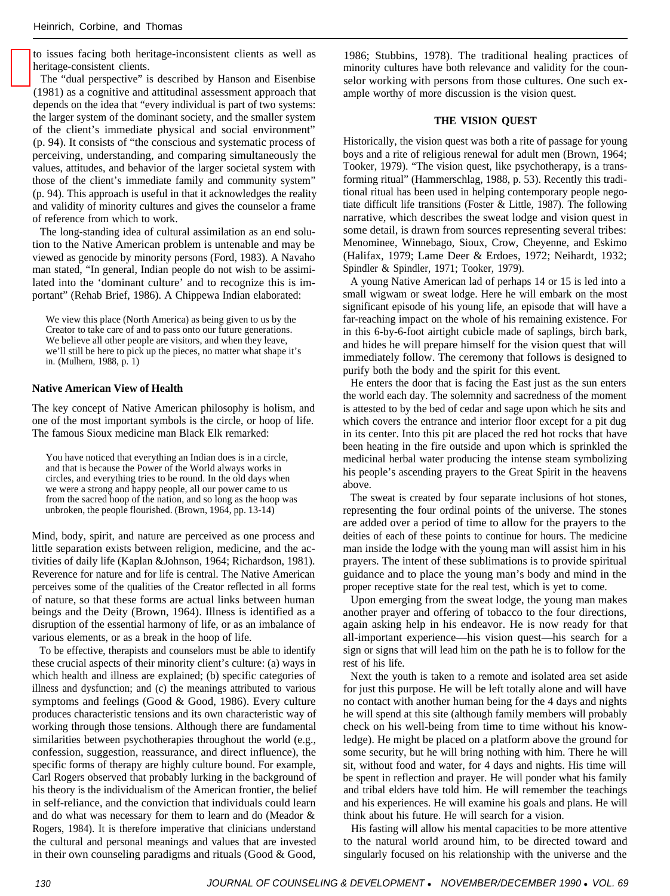to issues facing both heritage-inconsistent clients as well as heritage-consistent clients.

The "dual perspective" is described by Hanson and Eisenbise (1981) as a cognitive and attitudinal assessment approach that depends on the idea that "every individual is part of two systems: the larger system of the dominant society, and the smaller system of the client's immediate physical and social environment" (p. 94). It consists of "the conscious and systematic process of perceiving, understanding, and comparing simultaneously the values, attitudes, and behavior of the larger societal system with those of the client's immediate family and community system" (p. 94). This approach is useful in that it acknowledges the reality and validity of minority cultures and gives the counselor a frame of reference from which to work.

The long-standing idea of cultural assimilation as an end solution to the Native American problem is untenable and may be viewed as genocide by minority persons (Ford, 1983). A Navaho man stated, "In general, Indian people do not wish to be assimilated into the 'dominant culture' and to recognize this is important" (Rehab Brief, 1986). A Chippewa Indian elaborated:

We view this place (North America) as being given to us by the Creator to take care of and to pass onto our future generations. We believe all other people are visitors, and when they leave, we'll still be here to pick up the pieces, no matter what shape it's in. (Mulhern, 1988, p. 1)

#### **Native American View of Health**

The key concept of Native American philosophy is holism, and one of the most important symbols is the circle, or hoop of life. The famous Sioux medicine man Black Elk remarked:

You have noticed that everything an Indian does is in a circle, and that is because the Power of the World always works in circles, and everything tries to be round. In the old days when we were a strong and happy people, all our power came to us from the sacred hoop of the nation, and so long as the hoop was unbroken, the people flourished. (Brown, 1964, pp. 13-14)

Mind, body, spirit, and nature are perceived as one process and little separation exists between religion, medicine, and the activities of daily life (Kaplan &Johnson, 1964; Richardson, 1981). Reverence for nature and for life is central. The Native American perceives some of the qualities of the Creator reflected in all forms of nature, so that these forms are actual links between human beings and the Deity (Brown, 1964). Illness is identified as a disruption of the essential harmony of life, or as an imbalance of various elements, or as a break in the hoop of life.

To be effective, therapists and counselors must be able to identify these crucial aspects of their minority client's culture: (a) ways in which health and illness are explained; (b) specific categories of illness and dysfunction; and (c) the meanings attributed to various symptoms and feelings (Good & Good, 1986). Every culture produces characteristic tensions and its own characteristic way of working through those tensions. Although there are fundamental similarities between psychotherapies throughout the world (e.g., confession, suggestion, reassurance, and direct influence), the specific forms of therapy are highly culture bound. For example, Carl Rogers observed that probably lurking in the background of his theory is the individualism of the American frontier, the belief in self-reliance, and the conviction that individuals could learn and do what was necessary for them to learn and do (Meador & Rogers, 1984). It is therefore imperative that clinicians understand the cultural and personal meanings and values that are invested in their own counseling paradigms and rituals (Good & Good,

1986; Stubbins, 1978). The traditional healing practices of minority cultures have both relevance and validity for the counselor working with persons from those cultures. One such example worthy of more discussion is the vision quest.

#### **THE VISION QUEST**

Historically, the vision quest was both a rite of passage for young boys and a rite of religious renewal for adult men (Brown, 1964; Tooker, 1979). "The vision quest, like psychotherapy, is a transforming ritual" (Hammerschlag, 1988, p. 53). Recently this traditional ritual has been used in helping contemporary people negotiate difficult life transitions (Foster & Little, 1987). The following narrative, which describes the sweat lodge and vision quest in some detail, is drawn from sources representing several tribes: Menominee, Winnebago, Sioux, Crow, Cheyenne, and Eskimo (Halifax, 1979; Lame Deer & Erdoes, 1972; Neihardt, 1932; Spindler & Spindler, 1971; Tooker, 1979).

A young Native American lad of perhaps 14 or 15 is led into a small wigwam or sweat lodge. Here he will embark on the most significant episode of his young life, an episode that will have a far-reaching impact on the whole of his remaining existence. For in this 6-by-6-foot airtight cubicle made of saplings, birch bark, and hides he will prepare himself for the vision quest that will immediately follow. The ceremony that follows is designed to purify both the body and the spirit for this event.

He enters the door that is facing the East just as the sun enters the world each day. The solemnity and sacredness of the moment is attested to by the bed of cedar and sage upon which he sits and which covers the entrance and interior floor except for a pit dug in its center. Into this pit are placed the red hot rocks that have been heating in the fire outside and upon which is sprinkled the medicinal herbal water producing the intense steam symbolizing his people's ascending prayers to the Great Spirit in the heavens above.

The sweat is created by four separate inclusions of hot stones, representing the four ordinal points of the universe. The stones are added over a period of time to allow for the prayers to the deities of each of these points to continue for hours. The medicine man inside the lodge with the young man will assist him in his prayers. The intent of these sublimations is to provide spiritual guidance and to place the young man's body and mind in the proper receptive state for the real test, which is yet to come.

Upon emerging from the sweat lodge, the young man makes another prayer and offering of tobacco to the four directions, again asking help in his endeavor. He is now ready for that all-important experience—his vision quest—his search for a sign or signs that will lead him on the path he is to follow for the rest of his life.

Next the youth is taken to a remote and isolated area set aside for just this purpose. He will be left totally alone and will have no contact with another human being for the 4 days and nights he will spend at this site (although family members will probably check on his well-being from time to time without his knowledge). He might be placed on a platform above the ground for some security, but he will bring nothing with him. There he will sit, without food and water, for 4 days and nights. His time will be spent in reflection and prayer. He will ponder what his family and tribal elders have told him. He will remember the teachings and his experiences. He will examine his goals and plans. He will think about his future. He will search for a vision.

His fasting will allow his mental capacities to be more attentive to the natural world around him, to be directed toward and singularly focused on his relationship with the universe and the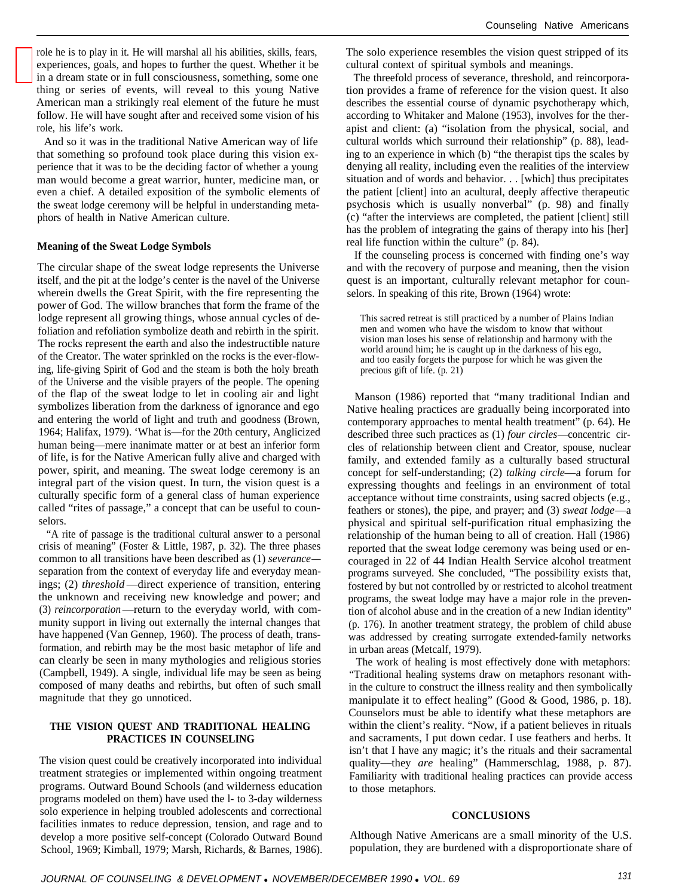role he is to play in it. He will marshal all his abilities, skills, fears, experiences, goals, and hopes to further the quest. Whether it be in a dream state or in full consciousness, something, some one thing or series of events, will reveal to this young Native American man a strikingly real element of the future he must follow. He will have sought after and received some vision of his role, his life's work.

And so it was in the traditional Native American way of life that something so profound took place during this vision experience that it was to be the deciding factor of whether a young man would become a great warrior, hunter, medicine man, or even a chief. A detailed exposition of the symbolic elements of the sweat lodge ceremony will be helpful in understanding metaphors of health in Native American culture.

#### **Meaning of the Sweat Lodge Symbols**

The circular shape of the sweat lodge represents the Universe itself, and the pit at the lodge's center is the navel of the Universe wherein dwells the Great Spirit, with the fire representing the power of God. The willow branches that form the frame of the lodge represent all growing things, whose annual cycles of defoliation and refoliation symbolize death and rebirth in the spirit. The rocks represent the earth and also the indestructible nature of the Creator. The water sprinkled on the rocks is the ever-flowing, life-giving Spirit of God and the steam is both the holy breath of the Universe and the visible prayers of the people. The opening of the flap of the sweat lodge to let in cooling air and light symbolizes liberation from the darkness of ignorance and ego and entering the world of light and truth and goodness (Brown, 1964; Halifax, 1979). 'What is—for the 20th century, Anglicized human being—mere inanimate matter or at best an inferior form of life, is for the Native American fully alive and charged with power, spirit, and meaning. The sweat lodge ceremony is an integral part of the vision quest. In turn, the vision quest is a culturally specific form of a general class of human experience called "rites of passage," a concept that can be useful to counselors.

"A rite of passage is the traditional cultural answer to a personal crisis of meaning" (Foster & Little, 1987, p. 32). The three phases common to all transitions have been described as (1) *severance* separation from the context of everyday life and everyday meanings; (2) *threshold* —direct experience of transition, entering the unknown and receiving new knowledge and power; and (3) *reincorporation*—return to the everyday world, with community support in living out externally the internal changes that have happened (Van Gennep, 1960). The process of death, transformation, and rebirth may be the most basic metaphor of life and can clearly be seen in many mythologies and religious stories (Campbell, 1949). A single, individual life may be seen as being composed of many deaths and rebirths, but often of such small magnitude that they go unnoticed.

#### **THE VISION QUEST AND TRADITIONAL HEALING PRACTICES IN COUNSELING**

The vision quest could be creatively incorporated into individual treatment strategies or implemented within ongoing treatment programs. Outward Bound Schools (and wilderness education programs modeled on them) have used the l- to 3-day wilderness solo experience in helping troubled adolescents and correctional facilities inmates to reduce depression, tension, and rage and to develop a more positive self-concept (Colorado Outward Bound School, 1969; Kimball, 1979; Marsh, Richards, & Barnes, 1986).

The solo experience resembles the vision quest stripped of its cultural context of spiritual symbols and meanings.

The threefold process of severance, threshold, and reincorporation provides a frame of reference for the vision quest. It also describes the essential course of dynamic psychotherapy which, according to Whitaker and Malone (1953), involves for the therapist and client: (a) "isolation from the physical, social, and cultural worlds which surround their relationship" (p. 88), leading to an experience in which (b) "the therapist tips the scales by denying all reality, including even the realities of the interview situation and of words and behavior. . . [which] thus precipitates the patient [client] into an acultural, deeply affective therapeutic psychosis which is usually nonverbal" (p. 98) and finally (c) "after the interviews are completed, the patient [client] still has the problem of integrating the gains of therapy into his [her] real life function within the culture" (p. 84).

If the counseling process is concerned with finding one's way and with the recovery of purpose and meaning, then the vision quest is an important, culturally relevant metaphor for counselors. In speaking of this rite, Brown (1964) wrote:

This sacred retreat is still practiced by a number of Plains Indian men and women who have the wisdom to know that without vision man loses his sense of relationship and harmony with the world around him; he is caught up in the darkness of his ego, and too easily forgets the purpose for which he was given the precious gift of life. (p. 21)

Manson (1986) reported that "many traditional Indian and Native healing practices are gradually being incorporated into contemporary approaches to mental health treatment" (p. 64). He described three such practices as (1) *four circles*—concentric circles of relationship between client and Creator, spouse, nuclear family, and extended family as a culturally based structural concept for self-understanding; (2) *talking circle*—a forum for expressing thoughts and feelings in an environment of total acceptance without time constraints, using sacred objects (e.g., feathers or stones), the pipe, and prayer; and (3) *sweat lodge*—a physical and spiritual self-purification ritual emphasizing the relationship of the human being to all of creation. Hall (1986) reported that the sweat lodge ceremony was being used or encouraged in 22 of 44 Indian Health Service alcohol treatment programs surveyed. She concluded, "The possibility exists that, fostered by but not controlled by or restricted to alcohol treatment programs, the sweat lodge may have a major role in the prevention of alcohol abuse and in the creation of a new Indian identity" (p. 176). In another treatment strategy, the problem of child abuse was addressed by creating surrogate extended-family networks in urban areas (Metcalf, 1979).

The work of healing is most effectively done with metaphors: "Traditional healing systems draw on metaphors resonant within the culture to construct the illness reality and then symbolically manipulate it to effect healing" (Good & Good, 1986, p. 18). Counselors must be able to identify what these metaphors are within the client's reality. "Now, if a patient believes in rituals and sacraments, I put down cedar. I use feathers and herbs. It isn't that I have any magic; it's the rituals and their sacramental quality—they *are* healing" (Hammerschlag, 1988, p. 87). Familiarity with traditional healing practices can provide access to those metaphors.

#### **CONCLUSIONS**

Although Native Americans are a small minority of the U.S. population, they are burdened with a disproportionate share of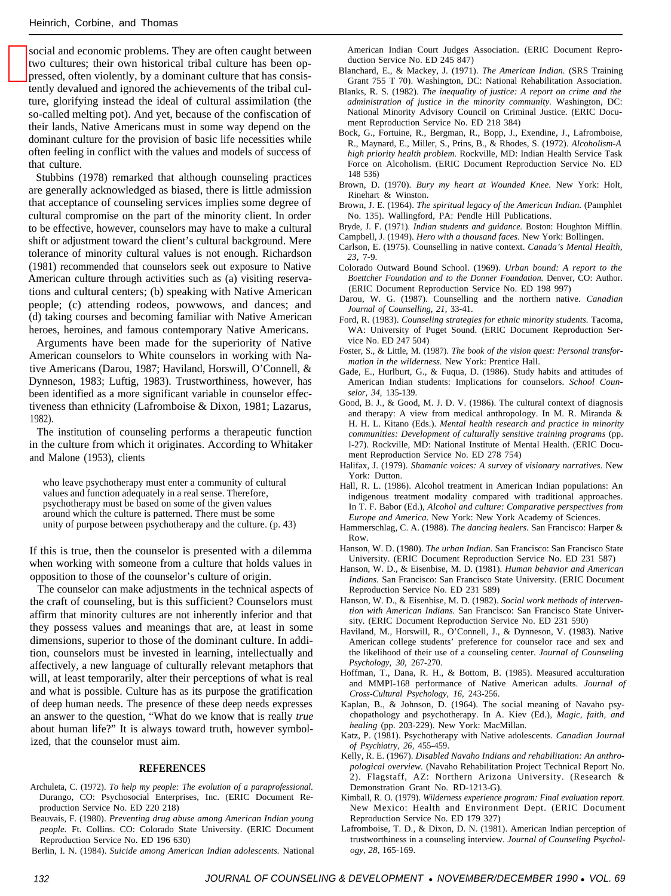social and economic problems. They are often caught between two cultures; their own historical tribal culture has been oppressed, often violently, by a dominant culture that has consistently devalued and ignored the achievements of the tribal culture, glorifying instead the ideal of cultural assimilation (the so-called melting pot). And yet, because of the confiscation of their lands, Native Americans must in some way depend on the dominant culture for the provision of basic life necessities while often feeling in conflict with the values and models of success of that culture.

Stubbins (1978) remarked that although counseling practices are generally acknowledged as biased, there is little admission that acceptance of counseling services implies some degree of cultural compromise on the part of the minority client. In order to be effective, however, counselors may have to make a cultural shift or adjustment toward the client's cultural background. Mere tolerance of minority cultural values is not enough. Richardson (1981) recommended that counselors seek out exposure to Native American culture through activities such as (a) visiting reservations and cultural centers; (b) speaking with Native American people; (c) attending rodeos, powwows, and dances; and (d) taking courses and becoming familiar with Native American heroes, heroines, and famous contemporary Native Americans.

Arguments have been made for the superiority of Native American counselors to White counselors in working with Native Americans (Darou, 1987; Haviland, Horswill, O'Connell, & Dynneson, 1983; Luftig, 1983). Trustworthiness, however, has been identified as a more significant variable in counselor effectiveness than ethnicity (Lafromboise & Dixon, 1981; Lazarus, 1982).

The institution of counseling performs a therapeutic function in the culture from which it originates. According to Whitaker and Malone (1953), clients

who leave psychotherapy must enter a community of cultural values and function adequately in a real sense. Therefore, psychotherapy must be based on some of the given values around which the culture is patterned. There must be some unity of purpose between psychotherapy and the culture. (p. 43)

If this is true, then the counselor is presented with a dilemma when working with someone from a culture that holds values in opposition to those of the counselor's culture of origin.

The counselor can make adjustments in the technical aspects of the craft of counseling, but is this sufficient? Counselors must affirm that minority cultures are not inherently inferior and that they possess values and meanings that are, at least in some dimensions, superior to those of the dominant culture. In addition, counselors must be invested in learning, intellectually and affectively, a new language of culturally relevant metaphors that will, at least temporarily, alter their perceptions of what is real and what is possible. Culture has as its purpose the gratification of deep human needs. The presence of these deep needs expresses an answer to the question, "What do we know that is really *true* about human life?" It is always toward truth, however symbolized, that the counselor must aim.

#### **REFERENCES**

- Archuleta, C. (1972). *To help my people: The evolution of a paraprofessional.* Durango, CO: Psychosocial Enterprises, Inc. (ERIC Document Reproduction Service No. ED 220 218)
- Beauvais, F. (1980). *Preventing drug abuse among American Indian young people.* Ft. Collins. CO: Colorado State University. (ERIC Document Reproduction Service No. ED 196 630)
- Berlin, I. N. (1984). *Suicide among American Indian adolescents.* National

American Indian Court Judges Association. (ERIC Document Reproduction Service No. ED 245 847)

- Blanchard, E., & Mackey, J. (1971). *The American Indian.* (SRS Training Grant 755 T 70). Washington, DC: National Rehabilitation Association.
- Blanks, R. S. (1982). *The inequality of justice: A report on crime and the administration of justice in the minority community.* Washington, DC: National Minority Advisory Council on Criminal Justice. (ERIC Document Reproduction Service No. ED 218 384)
- Bock, G., Fortuine, R., Bergman, R., Bopp, J., Exendine, J., Lafromboise, R., Maynard, E., Miller, S., Prins, B., & Rhodes, S. (1972). *Alcoholism-A high priority health problem.* Rockville, MD: Indian Health Service Task Force on Alcoholism. (ERIC Document Reproduction Service No. ED 148 536)
- Brown, D. (1970). *Bury my heart at Wounded Knee.* New York: Holt, Rinehart & Winston.
- Brown, J. E. (1964). *The spiritual legacy of the American Indian.* (Pamphlet No. 135). Wallingford, PA: Pendle Hill Publications.
- Bryde, J. F. (1971). *Indian students and guidance.* Boston: Houghton Mifflin.

Campbell, J. (1949). *Hero with a thousand faces.* New York: Bollingen.

- Carlson, E. (1975). Counselling in native context. *Canada's Mental Health, 23,* 7-9.
- Colorado Outward Bound School. (1969). *Urban bound: A report to the Boettcher Foundation and to the Donner Foundation.* Denver, CO: Author. (ERIC Document Reproduction Service No. ED 198 997)
- Darou, W. G. (1987). Counselling and the northern native. *Canadian Journal of Counselling, 21,* 33-41.
- Ford, R. (1983). *Counseling strategies for ethnic minority students.* Tacoma, WA: University of Puget Sound. (ERIC Document Reproduction Service No. ED 247 504)
- Foster, S., & Little, M. (1987). *The book of the vision quest: Personal transformation in the wilderness.* New York: Prentice Hall.
- Gade, E., Hurlburt, G., & Fuqua, D. (1986). Study habits and attitudes of American Indian students: Implications for counselors. *School Counselor, 34,* 135-139.
- Good, B. J., & Good, M. J. D. V. (1986). The cultural context of diagnosis and therapy: A view from medical anthropology. In M. R. Miranda & H. H. L. Kitano (Eds.). *Mental health research and practice in minority communities: Development of culturally sensitive training programs* (pp. l-27). Rockville, MD: National Institute of Mental Health. (ERIC Document Reproduction Service No. ED 278 754)
- Halifax, J. (1979). *Shamanic voices: A survey* of *visionary narratives.* New York: Dutton.
- Hall, R. L. (1986). Alcohol treatment in American Indian populations: An indigenous treatment modality compared with traditional approaches. In T. F. Babor (Ed.), *Alcohol and culture: Comparative perspectives from Europe and America.* New York: New York Academy of Sciences.
- Hammerschlag, C. A. (1988). *The dancing healers.* San Francisco: Harper & Row.
- Hanson, W. D. (1980). *The urban Indian.* San Francisco: San Francisco State University. (ERIC Document Reproduction Service No. ED 231 587)
- Hanson, W. D., & Eisenbise, M. D. (1981). *Human behavior and American Indians.* San Francisco: San Francisco State University. (ERIC Document Reproduction Service No. ED 231 589)
- Hanson, W. D., & Eisenbise, M. D. (1982). *Social work methods of intervention with American Indians.* San Francisco: San Francisco State University. (ERIC Document Reproduction Service No. ED 231 590)
- Haviland, M., Horswill, R., O'Connell, J., & Dynneson, V. (1983). Native American college students' preference for counselor race and sex and the likelihood of their use of a counseling center. *Journal of Counseling Psychology, 30,* 267-270.
- Hoffman, T., Dana, R. H., & Bottom, B. (1985). Measured acculturation and MMPI-168 performance of Native American adults. *Journal of Cross-Cultural Psychology, 16,* 243-256.
- Kaplan, B., & Johnson, D. (1964). The social meaning of Navaho psychopathology and psychotherapy. In A. Kiev (Ed.), *Magic, faith, and healing* (pp. 203-229). New York: MacMillan.
- Katz, P. (1981). Psychotherapy with Native adolescents. *Canadian Journal of Psychiatry, 26,* 455-459.
- Kelly, R. E. (1967). *Disabled Navaho Indians and rehabilitation: An anthropological overview.* (Navaho Rehabilitation Project Technical Report No. 2). Flagstaff, AZ: Northern Arizona University. (Research & Demonstration Grant No. RD-1213-G).
- Kimball, R. O. (1979). *Wilderness experience program: Final evaluation report.* New Mexico: Health and Environment Dept. (ERIC Document Reproduction Service No. ED 179 327)
- Lafromboise, T. D., & Dixon, D. N. (1981). American Indian perception of trustworthiness in a counseling interview. *Journal of Counseling Psychology, 28,* 165-169.